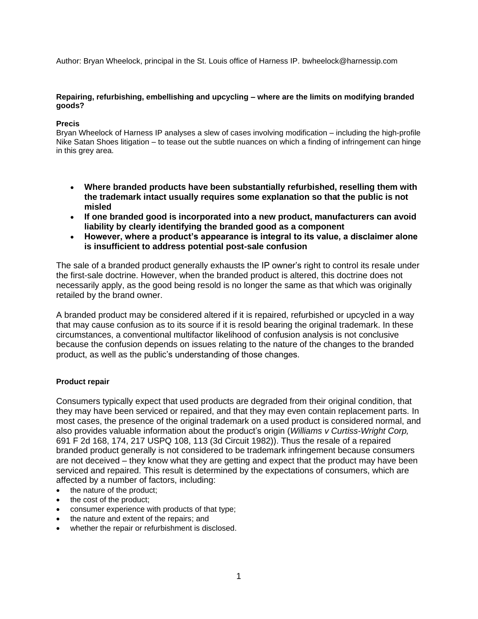Author: Bryan Wheelock, principal in the St. Louis office of Harness IP. bwheelock@harnessip.com

#### **Repairing, refurbishing, embellishing and upcycling – where are the limits on modifying branded goods?**

### **Precis**

Bryan Wheelock of Harness IP analyses a slew of cases involving modification – including the high-profile Nike Satan Shoes litigation – to tease out the subtle nuances on which a finding of infringement can hinge in this grey area.

- **Where branded products have been substantially refurbished, reselling them with the trademark intact usually requires some explanation so that the public is not misled**
- **If one branded good is incorporated into a new product, manufacturers can avoid liability by clearly identifying the branded good as a component**
- **However, where a product's appearance is integral to its value, a disclaimer alone is insufficient to address potential post-sale confusion**

The sale of a branded product generally exhausts the IP owner's right to control its resale under the first-sale doctrine. However, when the branded product is altered, this doctrine does not necessarily apply, as the good being resold is no longer the same as that which was originally retailed by the brand owner.

A branded product may be considered altered if it is repaired, refurbished or upcycled in a way that may cause confusion as to its source if it is resold bearing the original trademark. In these circumstances, a conventional multifactor likelihood of confusion analysis is not conclusive because the confusion depends on issues relating to the nature of the changes to the branded product, as well as the public's understanding of those changes.

### **Product repair**

Consumers typically expect that used products are degraded from their original condition, that they may have been serviced or repaired, and that they may even contain replacement parts. In most cases, the presence of the original trademark on a used product is considered normal, and also provides valuable information about the product's origin (*Williams v Curtiss-Wright Corp,* 691 F 2d 168, 174, 217 USPQ 108, 113 (3d Circuit 1982)). Thus the resale of a repaired branded product generally is not considered to be trademark infringement because consumers are not deceived – they know what they are getting and expect that the product may have been serviced and repaired. This result is determined by the expectations of consumers, which are affected by a number of factors, including:

- the nature of the product;
- the cost of the product;
- consumer experience with products of that type;
- the nature and extent of the repairs; and
- whether the repair or refurbishment is disclosed.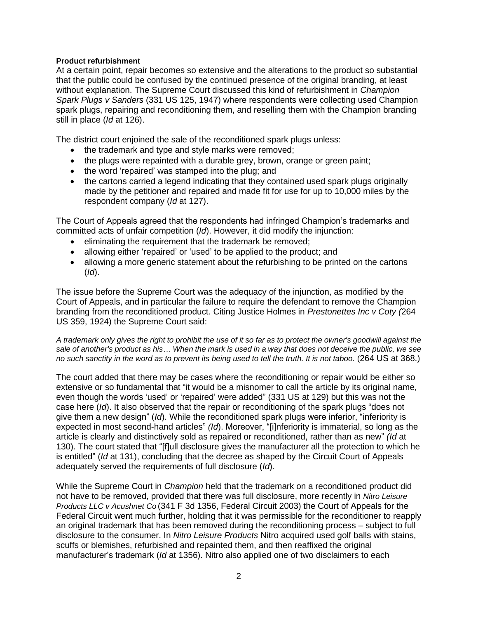## **Product refurbishment**

At a certain point, repair becomes so extensive and the alterations to the product so substantial that the public could be confused by the continued presence of the original branding, at least without explanation. The Supreme Court discussed this kind of refurbishment in *Champion Spark Plugs v Sanders* (331 US 125, 1947) where respondents were collecting used Champion spark plugs, repairing and reconditioning them, and reselling them with the Champion branding still in place (*Id* at 126).

The district court enjoined the sale of the reconditioned spark plugs unless:

- the trademark and type and style marks were removed;
- the plugs were repainted with a durable grey, brown, orange or green paint;
- the word 'repaired' was stamped into the plug; and
- the cartons carried a legend indicating that they contained used spark plugs originally made by the petitioner and repaired and made fit for use for up to 10,000 miles by the respondent company (*Id* at 127).

The Court of Appeals agreed that the respondents had infringed Champion's trademarks and committed acts of unfair competition (*Id*). However, it did modify the injunction:

- eliminating the requirement that the trademark be removed;
- allowing either 'repaired' or 'used' to be applied to the product; and
- allowing a more generic statement about the refurbishing to be printed on the cartons (*Id*).

The issue before the Supreme Court was the adequacy of the injunction, as modified by the Court of Appeals, and in particular the failure to require the defendant to remove the Champion branding from the reconditioned product. Citing Justice Holmes in *Prestonettes Inc v Coty (*264 US 359, 1924) the Supreme Court said:

*A trademark only gives the right to prohibit the use of it so far as to protect the owner's goodwill against the sale of another's product as his… When the mark is used in a way that does not deceive the public, we see no such sanctity in the word as to prevent its being used to tell the truth. It is not taboo.* (264 US at 368.)

The court added that there may be cases where the reconditioning or repair would be either so extensive or so fundamental that "it would be a misnomer to call the article by its original name, even though the words 'used' or 'repaired' were added" (331 US at 129) but this was not the case here (*Id*). It also observed that the repair or reconditioning of the spark plugs "does not give them a new design" (*Id*). While the reconditioned spark plugs were inferior, "inferiority is expected in most second-hand articles" *(Id*). Moreover, "[i]nferiority is immaterial, so long as the article is clearly and distinctively sold as repaired or reconditioned, rather than as new" *(Id* at 130). The court stated that "[f]ull disclosure gives the manufacturer all the protection to which he is entitled" (*Id* at 131), concluding that the decree as shaped by the Circuit Court of Appeals adequately served the requirements of full disclosure (*Id*).

While the Supreme Court in *Champion* held that the trademark on a reconditioned product did not have to be removed, provided that there was full disclosure, more recently in *Nitro Leisure Products LLC v Acushnet Co* (341 F 3d 1356, Federal Circuit 2003) the Court of Appeals for the Federal Circuit went much further, holding that it was permissible for the reconditioner to reapply an original trademark that has been removed during the reconditioning process – subject to full disclosure to the consumer. In *Nitro Leisure Products* Nitro acquired used golf balls with stains, scuffs or blemishes, refurbished and repainted them, and then reaffixed the original manufacturer's trademark (*Id* at 1356). Nitro also applied one of two disclaimers to each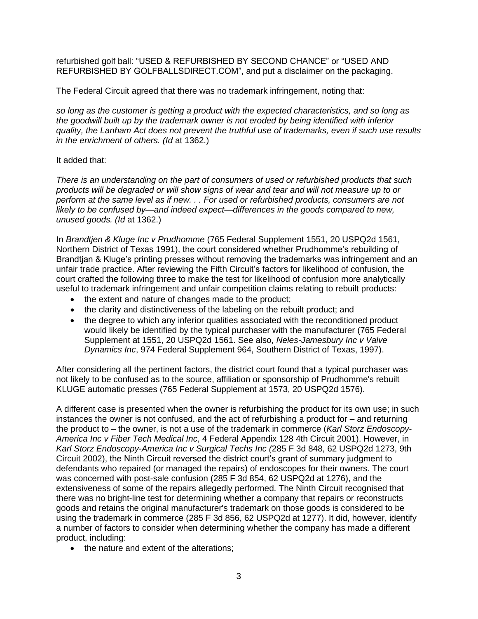refurbished golf ball: "USED & REFURBISHED BY SECOND CHANCE" or "USED AND REFURBISHED BY GOLFBALLSDIRECT.COM", and put a disclaimer on the packaging.

The Federal Circuit agreed that there was no trademark infringement, noting that:

*so long as the customer is getting a product with the expected characteristics, and so long as the goodwill built up by the trademark owner is not eroded by being identified with inferior quality, the Lanham Act does not prevent the truthful use of trademarks, even if such use results in the enrichment of others. (Id* at 1362.)

# It added that:

*There is an understanding on the part of consumers of used or refurbished products that such products will be degraded or will show signs of wear and tear and will not measure up to or perform at the same level as if new. . . For used or refurbished products, consumers are not likely to be confused by—and indeed expect—differences in the goods compared to new, unused goods. (Id* at 1362.)

In *Brandtjen & Kluge Inc v Prudhomme* (765 Federal Supplement 1551, 20 USPQ2d 1561, Northern District of Texas 1991), the court considered whether Prudhomme's rebuilding of Brandtjan & Kluge's printing presses without removing the trademarks was infringement and an unfair trade practice. After reviewing the Fifth Circuit's factors for likelihood of confusion, the court crafted the following three to make the test for likelihood of confusion more analytically useful to trademark infringement and unfair competition claims relating to rebuilt products:

- the extent and nature of changes made to the product;
- the clarity and distinctiveness of the labeling on the rebuilt product; and
- the degree to which any inferior qualities associated with the reconditioned product would likely be identified by the typical purchaser with the manufacturer (765 Federal Supplement at 1551, 20 USPQ2d 1561. See also, *Neles-Jamesbury Inc v Valve Dynamics Inc*, 974 Federal Supplement 964, Southern District of Texas, 1997).

After considering all the pertinent factors, the district court found that a typical purchaser was not likely to be confused as to the source, affiliation or sponsorship of Prudhomme's rebuilt KLUGE automatic presses (765 Federal Supplement at 1573, 20 USPQ2d 1576).

A different case is presented when the owner is refurbishing the product for its own use; in such instances the owner is not confused, and the act of refurbishing a product for – and returning the product to – the owner, is not a use of the trademark in commerce (*Karl Storz Endoscopy*-*America Inc v Fiber Tech Medical Inc*, 4 Federal Appendix 128 4th Circuit 2001). However, in *Karl Storz Endoscopy-America Inc v Surgical Techs Inc (*285 F 3d 848, 62 USPQ2d 1273, 9th Circuit 2002), the Ninth Circuit reversed the district court's grant of summary judgment to defendants who repaired (or managed the repairs) of endoscopes for their owners. The court was concerned with post-sale confusion (285 F 3d 854, 62 USPQ2d at 1276), and the extensiveness of some of the repairs allegedly performed. The Ninth Circuit recognised that there was no bright-line test for determining whether a company that repairs or reconstructs goods and retains the original manufacturer's trademark on those goods is considered to be using the trademark in commerce (285 F 3d 856, 62 USPQ2d at 1277). It did, however, identify a number of factors to consider when determining whether the company has made a different product, including:

• the nature and extent of the alterations;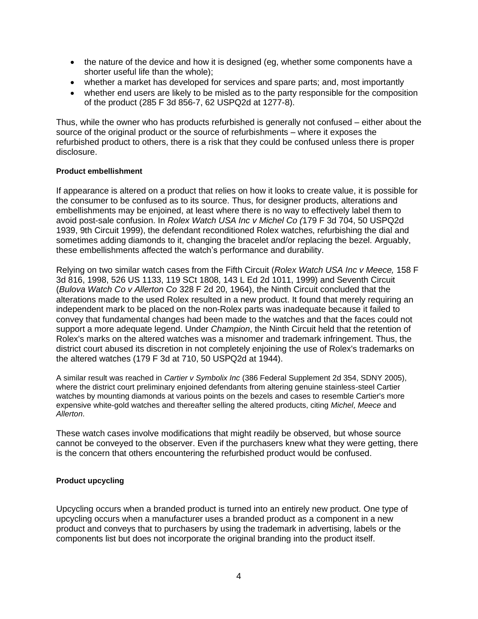- the nature of the device and how it is designed (eg, whether some components have a shorter useful life than the whole);
- whether a market has developed for services and spare parts; and, most importantly
- whether end users are likely to be misled as to the party responsible for the composition of the product (285 F 3d 856-7, 62 USPQ2d at 1277-8).

Thus, while the owner who has products refurbished is generally not confused – either about the source of the original product or the source of refurbishments – where it exposes the refurbished product to others, there is a risk that they could be confused unless there is proper disclosure.

### **Product embellishment**

If appearance is altered on a product that relies on how it looks to create value, it is possible for the consumer to be confused as to its source. Thus, for designer products, alterations and embellishments may be enjoined, at least where there is no way to effectively label them to avoid post-sale confusion. In *Rolex Watch USA Inc v Michel Co (*179 F 3d 704, 50 USPQ2d 1939, 9th Circuit 1999), the defendant reconditioned Rolex watches, refurbishing the dial and sometimes adding diamonds to it, changing the bracelet and/or replacing the bezel. Arguably, these embellishments affected the watch's performance and durability.

Relying on two similar watch cases from the Fifth Circuit (*Rolex Watch USA Inc v Meece,* 158 F 3d 816, 1998, 526 US 1133, 119 SCt 1808, 143 L Ed 2d 1011, 1999) and Seventh Circuit (*Bulova Watch Co v Allerton Co* 328 F 2d 20, 1964), the Ninth Circuit concluded that the alterations made to the used Rolex resulted in a new product. It found that merely requiring an independent mark to be placed on the non-Rolex parts was inadequate because it failed to convey that fundamental changes had been made to the watches and that the faces could not support a more adequate legend. Under *Champion*, the Ninth Circuit held that the retention of Rolex's marks on the altered watches was a misnomer and trademark infringement. Thus, the district court abused its discretion in not completely enjoining the use of Rolex's trademarks on the altered watches (179 F 3d at 710, 50 USPQ2d at 1944).

A similar result was reached in *Cartier v Symbolix Inc* (386 Federal Supplement 2d 354, SDNY 2005), where the district court preliminary enjoined defendants from altering genuine stainless-steel Cartier watches by mounting diamonds at various points on the bezels and cases to resemble Cartier's more expensive white-gold watches and thereafter selling the altered products, citing *Michel*, *Meece* and *Allerton*.

These watch cases involve modifications that might readily be observed, but whose source cannot be conveyed to the observer. Even if the purchasers knew what they were getting, there is the concern that others encountering the refurbished product would be confused.

### **Product upcycling**

Upcycling occurs when a branded product is turned into an entirely new product. One type of upcycling occurs when a manufacturer uses a branded product as a component in a new product and conveys that to purchasers by using the trademark in advertising, labels or the components list but does not incorporate the original branding into the product itself.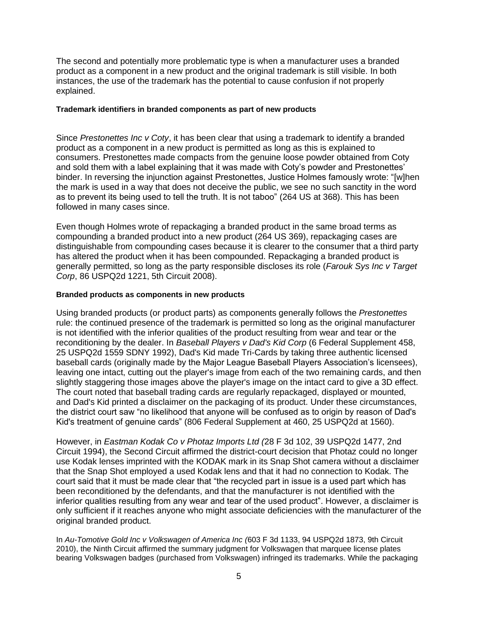The second and potentially more problematic type is when a manufacturer uses a branded product as a component in a new product and the original trademark is still visible. In both instances, the use of the trademark has the potential to cause confusion if not properly explained.

#### **Trademark identifiers in branded components as part of new products**

Since *Prestonettes Inc v Coty*, it has been clear that using a trademark to identify a branded product as a component in a new product is permitted as long as this is explained to consumers. Prestonettes made compacts from the genuine loose powder obtained from Coty and sold them with a label explaining that it was made with Coty's powder and Prestonettes' binder. In reversing the injunction against Prestonettes, Justice Holmes famously wrote: "[w]hen the mark is used in a way that does not deceive the public, we see no such sanctity in the word as to prevent its being used to tell the truth. It is not taboo" (264 US at 368). This has been followed in many cases since.

Even though Holmes wrote of repackaging a branded product in the same broad terms as compounding a branded product into a new product (264 US 369), repackaging cases are distinguishable from compounding cases because it is clearer to the consumer that a third party has altered the product when it has been compounded. Repackaging a branded product is generally permitted, so long as the party responsible discloses its role (*Farouk Sys Inc v Target Corp*, 86 USPQ2d 1221, 5th Circuit 2008).

### **Branded products as components in new products**

Using branded products (or product parts) as components generally follows the *Prestonettes* rule: the continued presence of the trademark is permitted so long as the original manufacturer is not identified with the inferior qualities of the product resulting from wear and tear or the reconditioning by the dealer. In *Baseball Players v Dad's Kid Corp* (6 Federal Supplement 458, 25 USPQ2d 1559 SDNY 1992), Dad's Kid made Tri-Cards by taking three authentic licensed baseball cards (originally made by the Major League Baseball Players Association's licensees), leaving one intact, cutting out the player's image from each of the two remaining cards, and then slightly staggering those images above the player's image on the intact card to give a 3D effect. The court noted that baseball trading cards are regularly repackaged, displayed or mounted, and Dad's Kid printed a disclaimer on the packaging of its product. Under these circumstances, the district court saw "no likelihood that anyone will be confused as to origin by reason of Dad's Kid's treatment of genuine cards" (806 Federal Supplement at 460, 25 USPQ2d at 1560).

However, in *Eastman Kodak Co v Photaz Imports Ltd (*28 F 3d 102, 39 USPQ2d 1477, 2nd Circuit 1994), the Second Circuit affirmed the district-court decision that Photaz could no longer use Kodak lenses imprinted with the KODAK mark in its Snap Shot camera without a disclaimer that the Snap Shot employed a used Kodak lens and that it had no connection to Kodak. The court said that it must be made clear that "the recycled part in issue is a used part which has been reconditioned by the defendants, and that the manufacturer is not identified with the inferior qualities resulting from any wear and tear of the used product". However, a disclaimer is only sufficient if it reaches anyone who might associate deficiencies with the manufacturer of the original branded product.

In *Au-Tomotive Gold Inc v Volkswagen of America Inc (*603 F 3d 1133, 94 USPQ2d 1873, 9th Circuit 2010), the Ninth Circuit affirmed the summary judgment for Volkswagen that marquee license plates bearing Volkswagen badges (purchased from Volkswagen) infringed its trademarks. While the packaging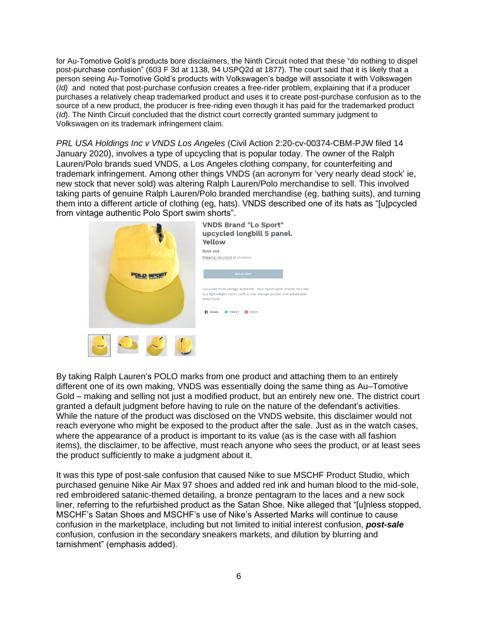for Au-Tomotive Gold's products bore disclaimers, the Ninth Circuit noted that these "do nothing to dispel post-purchase confusion" (603 F 3d at 1138, 94 USPQ2d at 1877). The court said that it is likely that a person seeing Au-Tomotive Gold's products with Volkswagen's badge will associate it with Volkswagen (*Id)* and noted that post-purchase confusion creates a free-rider problem, explaining that if a producer purchases a relatively cheap trademarked product and uses it to create post-purchase confusion as to the source of a new product, the producer is free-riding even though it has paid for the trademarked product (*Id*). The Ninth Circuit concluded that the district court correctly granted summary judgment to Volkswagen on its trademark infringement claim.

*PRL USA Holdings Inc v VNDS Los Angeles* (Civil Action 2:20-cv-00374-CBM-PJW filed 14 January 2020), involves a type of upcycling that is popular today. The owner of the Ralph Lauren/Polo brands sued VNDS, a Los Angeles clothing company, for counterfeiting and trademark infringement. Among other things VNDS (an acronym for 'very nearly dead stock' ie, new stock that never sold) was altering Ralph Lauren/Polo merchandise to sell. This involved taking parts of genuine Ralph Lauren/Polo branded merchandise (eg, bathing suits), and turning them into a different article of clothing (eg, hats). VNDS described one of its hats as "[u]pcycled from vintage authentic Polo Sport swim shorts".



By taking Ralph Lauren's POLO marks from one product and attaching them to an entirely different one of its own making, VNDS was essentially doing the same thing as Au–Tomotive Gold – making and selling not just a modified product, but an entirely new one. The district court granted a default judgment before having to rule on the nature of the defendant's activities. While the nature of the product was disclosed on the VNDS website, this disclaimer would not reach everyone who might be exposed to the product after the sale. Just as in the watch cases, where the appearance of a product is important to its value (as is the case with all fashion items), the disclaimer, to be affective, must reach anyone who sees the product, or at least sees the product sufficiently to make a judgment about it.

It was this type of post-sale confusion that caused Nike to sue MSCHF Product Studio, which purchased genuine Nike Air Max 97 shoes and added red ink and human blood to the mid-sole, red embroidered satanic-themed detailing, a bronze pentagram to the laces and a new sock liner, referring to the refurbished product as the Satan Shoe. Nike alleged that "[u]nless stopped, MSCHF's Satan Shoes and MSCHF's use of Nike's Asserted Marks will continue to cause confusion in the marketplace, including but not limited to initial interest confusion, *post-sale* confusion, confusion in the secondary sneakers markets, and dilution by blurring and tarnishment" (emphasis added).